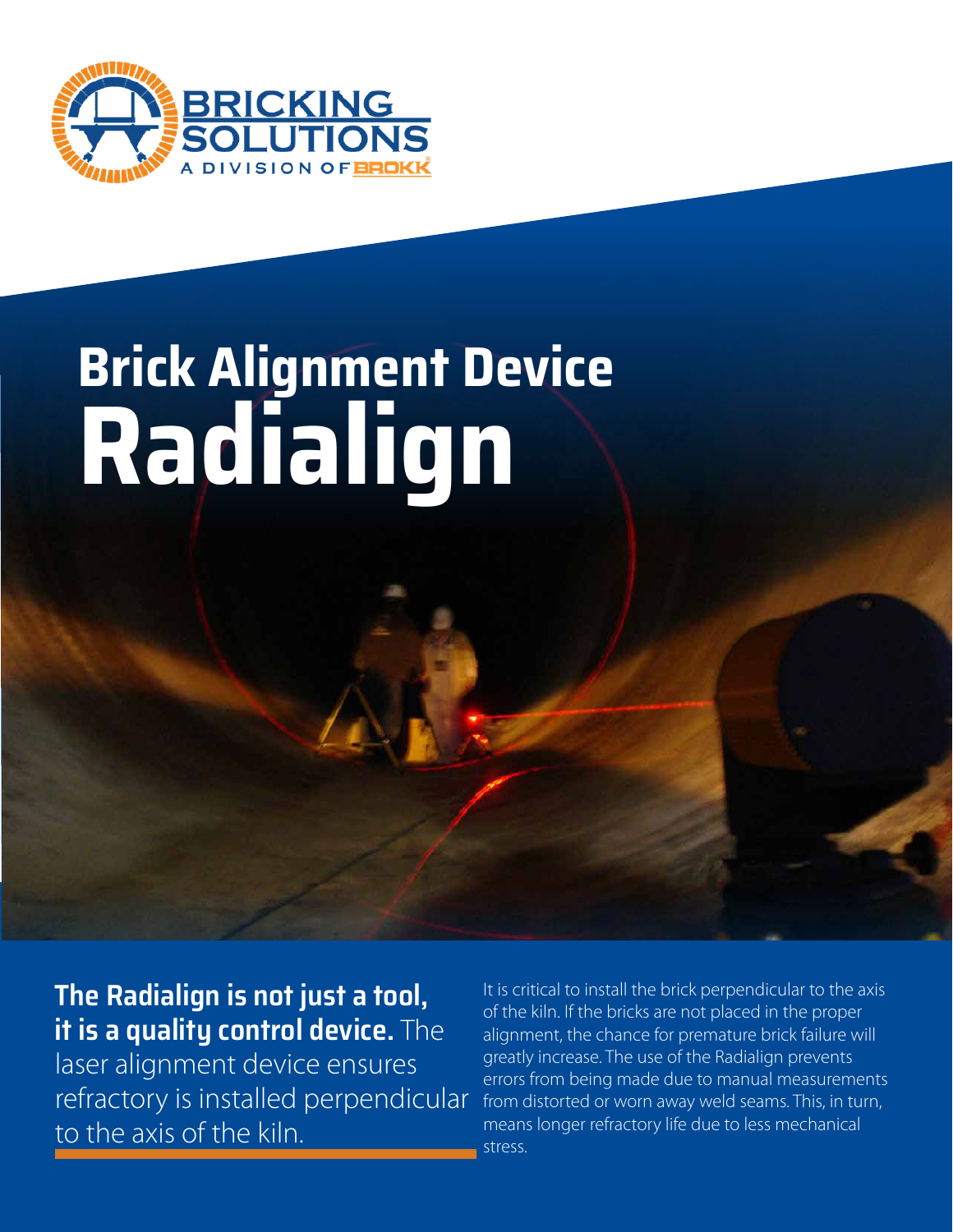

# **Brick Alignment Device Radialign**

**The Radialign is not just a tool, it is a quality control device.** The

laser alignment device ensures refractory is installed perpendicular to the axis of the kiln.

It is critical to install the brick perpendicular to the axis of the kiln. If the bricks are not placed in the proper alignment, the chance for premature brick failure will greatly increase. The use of the Radialign prevents errors from being made due to manual measurements from distorted or worn away weld seams. This, in turn, means longer refractory life due to less mechanical stress.